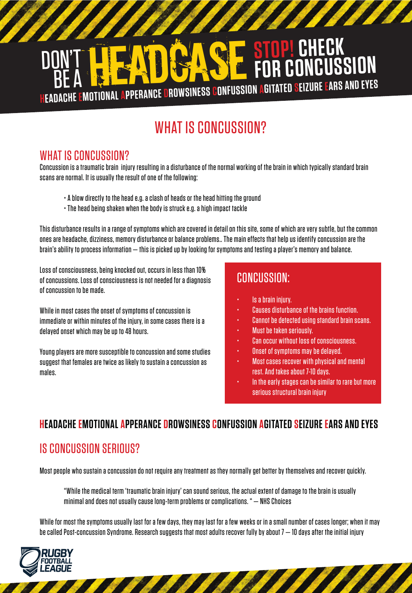# DON'T HEADGASE **STOP! CHECK FOR CONCUSSION HEADACHE EMOTIONAL APPERANCE DROWSINESS CONFUSSION AGITATED SEIZURE EARS AND EYES**

# WHAT IS CONCUSSION?

### WHAT IS CONCUSSION?

Concussion is a traumatic brain injury resulting in a disturbance of the normal working of the brain in which typically standard brain scans are normal. It is usually the result of one of the following:

- A blow directly to the head e.g. a clash of heads or the head hitting the ground
- The head being shaken when the body is struck e.g. a high impact tackle

This disturbance results in a range of symptoms which are covered in detail on this site, some of which are very subtle, but the common ones are headache, dizziness, memory disturbance or balance problems.. The main effects that help us identify concussion are the brain's ability to process information — this is picked up by looking for symptoms and testing a player's memory and balance.

Loss of consciousness, being knocked out, occurs in less than 10% of concussions. Loss of consciousness is not needed for a diagnosis of concussion to be made.

While in most cases the onset of symptoms of concussion is immediate or within minutes of the injury, in some cases there is a delayed onset which may be up to 48 hours.

Young players are more susceptible to concussion and some studies suggest that females are twice as likely to sustain a concussion as males.

### CONCUSSION:

- Is a brain injury.
- Causes disturbance of the brains function.
- Cannot be detected using standard brain scans.
- Must be taken seriously.
- Can occur without loss of consciousness.
- Onset of symptoms may be delayed.
- Most cases recover with physical and mental rest. And takes about 7-10 days.
- In the early stages can be similar to rare but more serious structural brain injury

#### **HEADACHE EMOTIONAL APPERANCE DROWSINESS CONFUSSIONAGITATEDSEIZURE EARS AND EYES**

# IS CONCUSSION SERIOUS?

Most people who sustain a concussion do not require any treatment as they normally get better by themselves and recover quickly.

"While the medical term 'traumatic brain injury' can sound serious, the actual extent of damage to the brain is usually minimal and does not usually cause long-term problems or complications. " — NHS Choices

While for most the symptoms usually last for a few days, they may last for a few weeks or in a small number of cases longer; when it may be called Post-concussion Syndrome. Research suggests that most adults recover fully by about  $7-10$  days after the initial injury

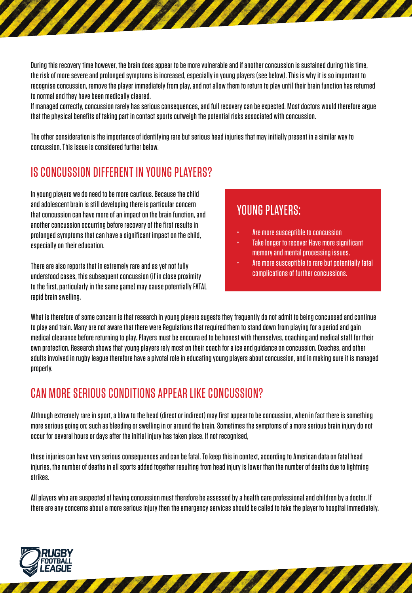During this recovery time however, the brain does appear to be more vulnerable and if another concussion is sustained during this time, the risk of more severe and prolonged symptoms is increased, especially in young players (see below). This is why it is so important to recognise concussion, remove the player immediately from play, and not allow them to return to play until their brain function has returned to normal and they have been medically cleared.

If managed correctly, concussion rarely has serious consequences, and full recovery can be expected. Most doctors would therefore argue that the physical benefits of taking part in contact sports outweigh the potential risks associated with concussion.

The other consideration is the importance of identifying rare but serious head injuries that may initially present in a similar way to concussion. This issue is considered further below.

### IS CONCUSSION DIFFERENT IN YOUNG PLAYERS?

In young players we do need to be more cautious. Because the child and adolescent brain is still developing there is particular concern that concussion can have more of an impact on the brain function, and another concussion occurring before recovery of the first results in prolonged symptoms that can have a significant impact on the child, especially on their education.

There are also reports that in extremely rare and as yet not fully understood cases, this subsequent concussion (if in close proximity to the first, particularly in the same game) may cause potentially FATAL rapid brain swelling.

#### YOUNG PLAYERS:

- Are more susceptible to concussion
- Take longer to recover Have more significant memory and mental processing issues.
- Are more susceptible to rare but potentially fatal complications of further concussions.

What is therefore of some concern is that research in young players sugests they frequently do not admit to being concussed and continue to play and train. Many are not aware that there were Regulations that required them to stand down from playing for a period and gain medical clearance before returning to play. Players must be encoura ed to be honest with themselves, coaching and medical staff for their own protection. Research shows that young players rely most on their coach for a ice and guidance on concussion. Coaches, and other adults involved in rugby league therefore have a pivotal role in educating young players about concussion, and in making sure it is managed properly.

#### CAN MORE SERIOUS CONDITIONS APPEAR LIKE CONCUSSION?

Although extremely rare in sport, a blow to the head (direct or indirect) may first appear to be concussion, when in fact there is something more serious going on; such as bleeding or swelling in or around the brain. Sometimes the symptoms of a more serious brain injury do not occur for several hours or days after the initial injury has taken place. If not recognised,

these injuries can have very serious consequences and can be fatal. To keep this in context, according to American data on fatal head injuries, the number of deaths in all sports added together resulting from head injury is lower than the number of deaths due to lightning strikes.

All players who are suspected of having concussion must therefore be assessed by a health care professional and children by a doctor. If there are any concerns about a more serious injury then the emergency services should be called to take the player to hospital immediately.